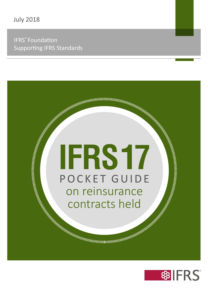#### IFRS® Foundation Supporting IFRS Standards

# **IFRS17** POCKET GUIDE on reinsurance contracts held

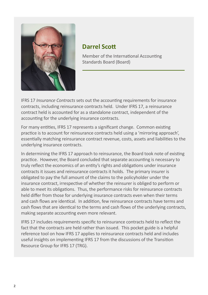

#### **Darrel Scott**

Member of the International Accounting Standards Board (Board)

IFRS 17 *Insurance Contracts* sets out the accounting requirements for insurance contracts, including reinsurance contracts held. Under IFRS 17, a reinsurance contract held is accounted for as a standalone contract, independent of the accounting for the underlying insurance contracts.

For many entities, IFRS 17 represents a significant change. Common existing practice is to account for reinsurance contracts held using a 'mirroring approach', essentially matching reinsurance contract revenue, costs, assets and liabilities to the underlying insurance contracts.

In determining the IFRS 17 approach to reinsurance, the Board took note of existing practice. However, the Board concluded that separate accounting is necessary to truly reflect the economics of an entity's rights and obligations under insurance contracts it issues and reinsurance contracts it holds. The primary insurer is obligated to pay the full amount of the claims to the policyholder under the insurance contract, irrespective of whether the reinsurer is obliged to perform or able to meet its obligations. Thus, the performance risks for reinsurance contracts held differ from those for underlying insurance contracts even when their terms and cash flows are identical. In addition, few reinsurance contracts have terms and cash flows that are identical to the terms and cash flows of the underlying contracts, making separate accounting even more relevant.

IFRS 17 includes requirements specific to reinsurance contracts held to reflect the fact that the contracts are held rather than issued. This pocket guide is a helpful reference tool on how IFRS 17 applies to reinsurance contracts held and includes useful insights on implementing IFRS 17 from the discussions of the Transition Resource Group for IFRS 17 (TRG).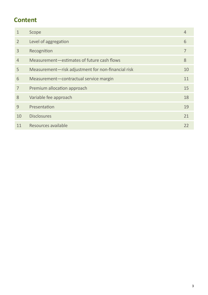# **Content**

| $\mathbf{1}$   | Scope                                              | $\overline{4}$ |
|----------------|----------------------------------------------------|----------------|
| 2              | Level of aggregation                               | 6              |
| 3              | Recognition                                        | 7              |
| $\overline{4}$ | Measurement-estimates of future cash flows         | 8              |
| 5              | Measurement-risk adjustment for non-financial risk | 10             |
| 6              | Measurement-contractual service margin             | 11             |
| $\overline{7}$ | Premium allocation approach                        | 15             |
| 8              | Variable fee approach                              | 18             |
| 9              | Presentation                                       | 19             |
| 10             | <b>Disclosures</b>                                 | 21             |
| 11             | Resources available                                | 22             |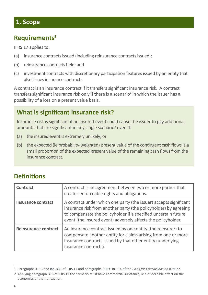#### **1. Scope**

#### **Requirements1**

IFRS 17 applies to:

- (a) insurance contracts issued (including reinsurance contracts issued);
- (b) reinsurance contracts held; and
- (c) investment contracts with discretionary participation features issued by an entity that also issues insurance contracts.

A contract is an insurance contract if it transfers significant insurance risk. A contract transfers significant insurance risk only if there is a scenario<sup>2</sup> in which the issuer has a possibility of a loss on a present value basis.

# **What is significant insurance risk?**

Insurance risk is significant if an insured event could cause the issuer to pay additional amounts that are significant in any single scenario<sup>2</sup> even if:

- (a) the insured event is extremely unlikely; or
- (b) the expected (ie probability-weighted) present value of the contingent cash flows is a small proportion of the expected present value of the remaining cash flows from the insurance contract.

# **Definitions**

| Contract                    | A contract is an agreement between two or more parties that<br>creates enforceable rights and obligations.                                                                                                                                                               |
|-----------------------------|--------------------------------------------------------------------------------------------------------------------------------------------------------------------------------------------------------------------------------------------------------------------------|
| Insurance contract          | A contract under which one party (the issuer) accepts significant<br>insurance risk from another party (the policyholder) by agreeing<br>to compensate the policyholder if a specified uncertain future<br>event (the insured event) adversely affects the policyholder. |
| <b>Reinsurance contract</b> | An insurance contract issued by one entity (the reinsurer) to<br>compensate another entity for claims arising from one or more<br>insurance contracts issued by that other entity (underlying<br>insurance contracts).                                                   |

<sup>1</sup> Paragraphs 3‒13 and B2‒B35 of IFRS 17 and paragraphs BC63‒BC114 of the *Basis for Conclusions on IFRS 17*.

<sup>2</sup> Applying paragraph B18 of IFRS 17 the scenario must have commercial substance, ie a discernible effect on the economics of the transaction.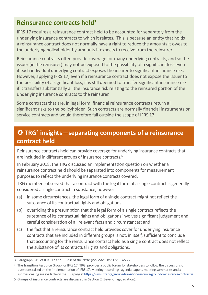#### **Reinsurance contracts held3**

IFRS 17 requires a reinsurance contract held to be accounted for separately from the underlying insurance contracts to which it relates. This is because an entity that holds a reinsurance contract does not normally have a right to reduce the amounts it owes to the underlying policyholder by amounts it expects to receive from the reinsurer.

Reinsurance contracts often provide coverage for many underlying contracts, and so the issuer (ie the reinsurer) may not be exposed to the possibility of a significant loss even if each individual underlying contract exposes the insurer to significant insurance risk. However, applying IFRS 17, even if a reinsurance contract does not expose the issuer to the possibility of a significant loss, it is still deemed to transfer significant insurance risk if it transfers substantially all the insurance risk relating to the reinsured portion of the underlying insurance contracts to the reinsurer.

Some contracts that are, in legal form, financial reinsurance contracts return all significant risks to the policyholder. Such contracts are normally financial instruments or service contracts and would therefore fall outside the scope of IFRS 17.

# **TRG4 insights—separating components of a reinsurance contract held**

Reinsurance contracts held can provide coverage for underlying insurance contracts that are included in different groups of insurance contracts.<sup>5</sup>

In February 2018, the TRG discussed an implementation question on whether a reinsurance contract held should be separated into components for measurement purposes to reflect the underlying insurance contracts covered.

TRG members observed that a contract with the legal form of a single contract is generally considered a single contract in substance, however:

- (a) in some circumstances, the legal form of a single contract might not reflect the substance of its contractual rights and obligations;
- (b) overriding the presumption that the legal form of a single contract reflects the substance of its contractual rights and obligations involves significant judgement and careful consideration of all relevant facts and circumstances; and
- (c) the fact that a reinsurance contract held provides cover for underlying insurance contracts that are included in different groups is not, in itself, sufficient to conclude that accounting for the reinsurance contract held as a single contract does not reflect the substance of its contractual rights and obligations.

<sup>3</sup> Paragraph B19 of IFRS 17 and BC298 of the *Basis for Conclusions on IFRS 17*.

<sup>4</sup> The Transition Resource Group for IFRS 17 (TRG) provides a public forum for stakeholders to follow the discussions of questions raised on the implementation of IFRS 17. Meeting recordings, agenda papers, meeting summaries and a submissions log are available on the TRG page at<https://www.ifrs.org/groups/transition-resource-group-for-insurance-contracts/>

<sup>5</sup> Groups of insurance contracts are discussed in Section 2 (Level of aggregation).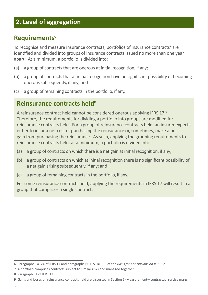# **2. Level of aggregation**

#### **Requirements6**

To recognise and measure insurance contracts, portfolios of insurance contracts<sup>7</sup> are identified and divided into groups of insurance contracts issued no more than one year apart. At a minimum, a portfolio is divided into:

- (a) a group of contracts that are onerous at initial recognition, if any;
- (b) a group of contracts that at initial recognition have no significant possibility of becoming onerous subsequently, if any; and
- (c) a group of remaining contracts in the portfolio, if any.

#### **Reinsurance contracts held8**

A reinsurance contract held cannot be considered onerous applying IFRS 17.<sup>9</sup> Therefore, the requirements for dividing a portfolio into groups are modified for reinsurance contracts held. For a group of reinsurance contracts held, an insurer expects either to incur a net cost of purchasing the reinsurance or, sometimes, make a net gain from purchasing the reinsurance. As such, applying the grouping requirements to reinsurance contracts held, at a minimum, a portfolio is divided into:

- (a) a group of contracts on which there is a net gain at initial recognition, if any;
- (b) a group of contracts on which at initial recognition there is no significant possibility of a net gain arising subsequently, if any; and
- (c) a group of remaining contracts in the portfolio, if any.

For some reinsurance contracts held, applying the requirements in IFRS 17 will result in a group that comprises a single contract.

<sup>6</sup> Paragraphs 14‒24 of IFRS 17 and paragraphs BC115‒BC139 of the *Basis for Conclusions on IFRS 17*.

<sup>7</sup> A portfolio comprises contracts subject to similar risks and managed together.

<sup>8</sup> Paragraph 61 of IFRS 17.

<sup>9</sup> Gains and losses on reinsurance contracts held are discussed in Section 6 (Measurement—contractual service margin).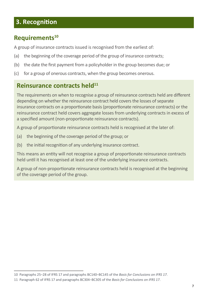# **3. Recognition**

#### **Requirements<sup>10</sup>**

A group of insurance contracts issued is recognised from the earliest of:

- (a) the beginning of the coverage period of the group of insurance contracts;
- (b) the date the first payment from a policyholder in the group becomes due; or
- (c) for a group of onerous contracts, when the group becomes onerous.

#### **Reinsurance contracts held**<sup>11</sup>

The requirements on when to recognise a group of reinsurance contracts held are different depending on whether the reinsurance contract held covers the losses of separate insurance contracts on a proportionate basis (proportionate reinsurance contracts) or the reinsurance contract held covers aggregate losses from underlying contracts in excess of a specified amount (non-proportionate reinsurance contracts).

A group of proportionate reinsurance contracts held is recognised at the later of:

- (a) the beginning of the coverage period of the group; or
- (b) the initial recognition of any underlying insurance contract.

This means an entity will not recognise a group of proportionate reinsurance contracts held until it has recognised at least one of the underlying insurance contracts.

A group of non-proportionate reinsurance contracts held is recognised at the beginning of the coverage period of the group.

<sup>10</sup> Paragraphs 25‒28 of IFRS 17 and paragraphs BC140‒BC145 of the *Basis for Conclusions on IFRS 17*.

<sup>11</sup> Paragraph 62 of IFRS 17 and paragraphs BC304‒BC305 of the *Basis for Conclusions on IFRS 17*.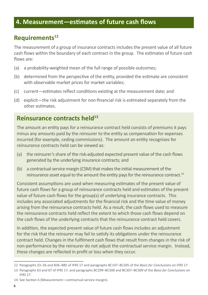#### **4. Measurement—estimates of future cash flows**

#### **Requirements<sup>12</sup>**

The measurement of a group of insurance contracts includes the present value of all future cash flows within the boundary of each contract in the group. The estimates of future cash flows are:

- (a) a probability-weighted mean of the full range of possible outcomes;
- (b) determined from the perspective of the entity, provided the estimate are consistent with observable market prices for market variables;
- (c) current—estimates reflect conditions existing at the measurement date; and
- (d) explicit—the risk adjustment for non-financial risk is estimated separately from the other estimates.

#### **Reinsurance contracts held**<sup>13</sup>

The amount an entity pays for a reinsurance contract held consists of premiums it pays minus any amounts paid by the reinsurer to the entity as compensation for expenses incurred (for example, ceding commissions). The amount an entity recognises for reinsurance contracts held can be viewed as:

- (a) the reinsurer's share of the risk-adjusted expected present value of the cash flows generated by the underlying insurance contracts; and
- (b) a contractual service margin (CSM) that makes the initial measurement of the reinsurance asset equal to the amount the entity pays for the reinsurance contract.<sup>14</sup>

Consistent assumptions are used when measuring estimates of the present value of future cash flows for a group of reinsurance contracts held and estimates of the present value of future cash flows for the group(s) of underlying insurance contracts. This includes any associated adjustments for the financial risk and the time value of money arising from the reinsurance contracts held. As a result, the cash flows used to measure the reinsurance contracts held reflect the extent to which those cash flows depend on the cash flows of the underlying contracts that the reinsurance contract held covers.

In addition, the expected present value of future cash flows includes an adjustment for the risk that the reinsurer may fail to satisfy its obligations under the reinsurance contract held. Changes in the fulfilment cash flows that result from changes in the risk of non‑performance by the reinsurer do not adjust the contractual service margin. Instead, these changes are reflected in profit or loss when they occur.

<sup>12</sup> Paragraphs 33‒36 and B36‒B85 of IFRS 17 and paragraphs BC147‒BC205 of the *Basis for Conclusions on IFRS 17*.

<sup>13</sup> Paragraphs 63 and 67 of IFRS 17, and paragraphs BC299‒BC300 and BC307‒BC309 of the *Basis for Conclusions on IFRS 17*.

<sup>14</sup> See Section 6 (Measurement—contractual service margin).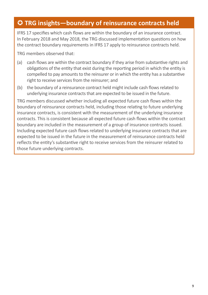### **TRG insights—boundary of reinsurance contracts held**

IFRS 17 specifies which cash flows are within the boundary of an insurance contract. In February 2018 and May 2018, the TRG discussed implementation questions on how the contract boundary requirements in IFRS 17 apply to reinsurance contracts held.

TRG members observed that:

- (a) cash flows are within the contract boundary if they arise from substantive rights and obligations of the entity that exist during the reporting period in which the entity is compelled to pay amounts to the reinsurer or in which the entity has a substantive right to receive services from the reinsurer; and
- (b) the boundary of a reinsurance contract held might include cash flows related to underlying insurance contracts that are expected to be issued in the future.

TRG members discussed whether including all expected future cash flows within the boundary of reinsurance contracts held, including those relating to future underlying insurance contracts, is consistent with the measurement of the underlying insurance contracts. This is consistent because all expected future cash flows within the contract boundary are included in the measurement of a group of insurance contracts issued. Including expected future cash flows related to underlying insurance contracts that are expected to be issued in the future in the measurement of reinsurance contracts held reflects the entity's substantive right to receive services from the reinsurer related to those future underlying contracts.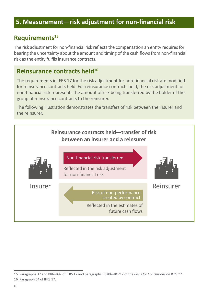#### **5. Measurement—risk adjustment for non-financial risk**

#### **Requirements<sup>15</sup>**

The risk adjustment for non-financial risk reflects the compensation an entity requires for bearing the uncertainty about the amount and timing of the cash flows from non-financial risk as the entity fulfils insurance contracts.

#### **Reinsurance contracts held<sup>16</sup>**

The requirements in IFRS 17 for the risk adjustment for non-financial risk are modified for reinsurance contracts held. For reinsurance contracts held, the risk adjustment for non‑financial risk represents the amount of risk being transferred by the holder of the group of reinsurance contracts to the reinsurer.

The following illustration demonstrates the transfers of risk between the insurer and the reinsurer.



<sup>15</sup> Paragraphs 37 and B86‒B92 of IFRS 17 and paragraphs BC206‒BC217 of the *Basis for Conclusions on IFRS 17*.

<sup>16</sup> Paragraph 64 of IFRS 17.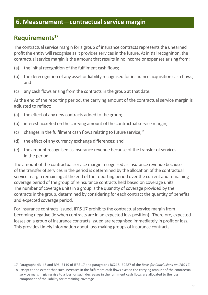#### **6. Measurement—contractual service margin**

### **Requirements17**

The contractual service margin for a group of insurance contracts represents the unearned profit the entity will recognise as it provides services in the future. At initial recognition, the contractual service margin is the amount that results in no income or expenses arising from:

- (a) the initial recognition of the fulfilment cash flows;
- (b) the derecognition of any asset or liability recognised for insurance acquisition cash flows; and
- (c) any cash flows arising from the contracts in the group at that date.

At the end of the reporting period, the carrying amount of the contractual service margin is adjusted to reflect:

- (a) the effect of any new contracts added to the group;
- (b) interest accreted on the carrying amount of the contractual service margin;
- (c) changes in the fulfilment cash flows relating to future service; $^{18}$
- (d) the effect of any currency exchange differences; and
- (e) the amount recognised as insurance revenue because of the transfer of services in the period.

The amount of the contractual service margin recognised as insurance revenue because of the transfer of services in the period is determined by the allocation of the contractual service margin remaining at the end of the reporting period over the current and remaining coverage period of the group of reinsurance contracts held based on coverage units. The number of coverage units in a group is the quantity of coverage provided by the contracts in the group, determined by considering for each contract the quantity of benefits and expected coverage period.

For insurance contracts issued, IFRS 17 prohibits the contractual service margin from becoming negative (ie when contracts are in an expected loss position). Therefore, expected losses on a group of insurance contracts issued are recognised immediately in profit or loss. This provides timely information about loss-making groups of insurance contracts.

<sup>17</sup> Paragraphs 43‒46 and B96‒B119 of IFRS 17 and paragraphs BC218‒BC287 of the *Basis for Conclusions on IFRS 17*.

<sup>18</sup> Except to the extent that such increases in the fulfilment cash flows exceed the carrying amount of the contractual service margin, giving rise to a loss; or such decreases in the fulfilment cash flows are allocated to the loss component of the liability for remaining coverage.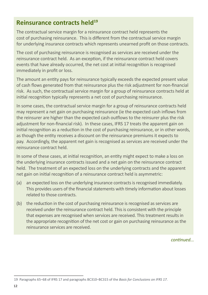#### **Reinsurance contracts held**<sup>19</sup>

The contractual service margin for a reinsurance contract held represents the cost of purchasing reinsurance. This is different from the contractual service margin for underlying insurance contracts which represents unearned profit on those contracts.

The cost of purchasing reinsurance is recognised as services are received under the reinsurance contract held. As an exception, if the reinsurance contract held covers events that have already occurred, the net cost at initial recognition is recognised immediately in profit or loss.

The amount an entity pays for reinsurance typically exceeds the expected present value of cash flows generated from that reinsurance plus the risk adjustment for non-financial risk. As such, the contractual service margin for a group of reinsurance contracts held at initial recognition typically represents a net cost of purchasing reinsurance.

In some cases, the contractual service margin for a group of reinsurance contracts held may represent a net gain on purchasing reinsurance (ie the expected cash inflows from the reinsurer are higher than the expected cash outflows to the reinsurer plus the risk adjustment for non-financial risk). In these cases, IFRS 17 treats the apparent gain on initial recognition as a reduction in the cost of purchasing reinsurance, or in other words, as though the entity receives a discount on the reinsurance premiums it expects to pay. Accordingly, the apparent net gain is recognised as services are received under the reinsurance contract held.

In some of these cases, at initial recognition, an entity might expect to make a loss on the underlying insurance contracts issued and a net gain on the reinsurance contract held. The treatment of an expected loss on the underlying contracts and the apparent net gain on initial recognition of a reinsurance contract held is asymmetric:

- (a) an expected loss on the underlying insurance contracts is recognised immediately. This provides users of the financial statements with timely information about losses related to those contracts.
- (b) the reduction in the cost of purchasing reinsurance is recognised as services are received under the reinsurance contract held. This is consistent with the principle that expenses are recognised when services are received. This treatment results in the appropriate recognition of the net cost or gain on purchasing reinsurance as the reinsurance services are received.

*continued...*

<sup>19</sup> Paragraphs 65‒68 of IFRS 17 and paragraphs BC310‒BC315 of the *Basis for Conclusions on IFRS 17*.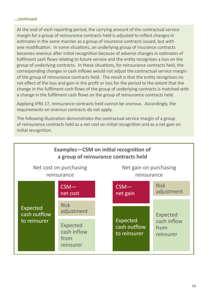#### *...continued*

At the end of each reporting period, the carrying amount of the contractual service margin for a group of reinsurance contracts held is adjusted to reflect changes in estimates in the same manner as a group of insurance contracts issued, but with one modification. In some situations, an underlying group of insurance contracts becomes onerous after initial recognition because of adverse changes in estimates of fulfilment cash flows relating to future service and the entity recognises a loss on the group of underlying contracts. In these situations, for reinsurance contracts held, the corresponding changes in cash inflows would not adjust the contractual service margin of the group of reinsurance contracts held. The result is that the entity recognises no net effect of the loss and gain in the profit or loss for the period to the extent that the change in the fulfilment cash flows of the group of underlying contracts is matched with a change in the fulfilment cash flows on the group of reinsurance contracts held.

Applying IFRS 17, reinsurance contracts held cannot be onerous. Accordingly, the requirements on onerous contracts do not apply.

The following illustration demonstrates the contractual service margin of a group of reinsurance contracts held as a net cost on initial recognition and as a net gain on initial recognition.

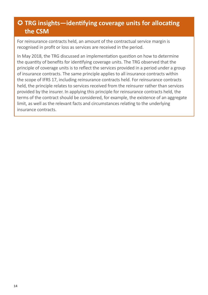# **TRG insights—identifying coverage units for allocating the CSM**

For reinsurance contracts held, an amount of the contractual service margin is recognised in profit or loss as services are received in the period.

In May 2018, the TRG discussed an implementation question on how to determine the quantity of benefits for identifying coverage units. The TRG observed that the principle of coverage units is to reflect the services provided in a period under a group of insurance contracts. The same principle applies to all insurance contracts within the scope of IFRS 17, including reinsurance contracts held. For reinsurance contracts held, the principle relates to services received from the reinsurer rather than services provided by the insurer. In applying this principle for reinsurance contracts held, the terms of the contract should be considered, for example, the existence of an aggregate limit, as well as the relevant facts and circumstances relating to the underlying insurance contracts.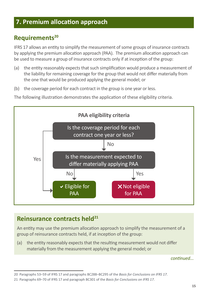#### **7. Premium allocation approach**

#### **Requirements<sup>20</sup>**

IFRS 17 allows an entity to simplify the measurement of some groups of insurance contracts by applying the premium allocation approach (PAA). The premium allocation approach can be used to measure a group of insurance contracts only if at inception of the group:

- (a) the entity reasonably expects that such simplification would produce a measurement of the liability for remaining coverage for the group that would not differ materially from the one that would be produced applying the general model; or
- (b) the coverage period for each contract in the group is one year or less.

The following illustration demonstrates the application of these eligibility criteria.



# **Reinsurance contracts held21**

An entity may use the premium allocation approach to simplify the measurement of a group of reinsurance contracts held, if at inception of the group:

(a) the entity reasonably expects that the resulting measurement would not differ materially from the measurement applying the general model; or

*continued...*

<sup>20</sup> Paragraphs 53‒59 of IFRS 17 and paragraphs BC288‒BC295 of the *Basis for Conclusions on IFRS 17*.

<sup>21</sup> Paragraphs 69‒70 of IFRS 17 and paragraph BC301 of the *Basis for Conclusions on IFRS 17*.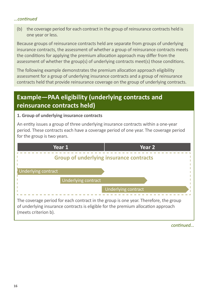#### *...continued*

(b) the coverage period for each contract in the group of reinsurance contracts held is one year or less.

Because groups of reinsurance contracts held are separate from groups of underlying insurance contracts, the assessment of whether a group of reinsurance contracts meets the conditions for applying the premium allocation approach may differ from the assessment of whether the group(s) of underlying contracts meet(s) those conditions.

The following example demonstrates the premium allocation approach eligibility assessment for a group of underlying insurance contracts and a group of reinsurance contracts held that provide reinsurance coverage on the group of underlying contracts.

# **Example—PAA eligibility (underlying contracts and reinsurance contracts held)**

#### **1. Group of underlying insurance contracts**

An entity issues a group of three underlying insurance contracts within a one-year period. These contracts each have a coverage period of one year. The coverage period for the group is two years.



*continued...*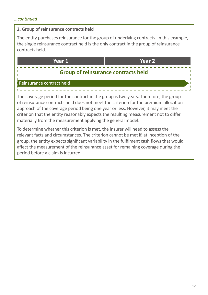#### *...continued*

#### **2. Group of reinsurance contracts held**

The entity purchases reinsurance for the group of underlying contracts. In this example, the single reinsurance contract held is the only contract in the group of reinsurance contracts held.

**Year 1 Year 2 Group of reinsurance contracts held** Reinsurance contract held The coverage period for the contract in the group is two years. Therefore, the group of reinsurance contracts held does not meet the criterion for the premium allocation approach of the coverage period being one year or less. However, it may meet the criterion that the entity reasonably expects the resulting measurement not to differ materially from the measurement applying the general model.

To determine whether this criterion is met, the insurer will need to assess the relevant facts and circumstances. The criterion cannot be met if, at inception of the group, the entity expects significant variability in the fulfilment cash flows that would affect the measurement of the reinsurance asset for remaining coverage during the period before a claim is incurred.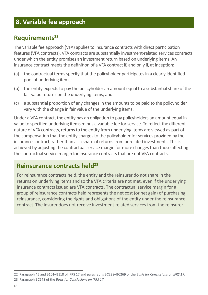### **8. Variable fee approach**

#### **Requirements**<sup>22</sup>

The variable fee approach (VFA) applies to insurance contracts with direct participation features (VFA contracts). VFA contracts are substantially investment-related services contracts under which the entity promises an investment return based on underlying items. An insurance contract meets the definition of a VFA contract if, and only if, at inception:

- (a) the contractual terms specify that the policyholder participates in a clearly identified pool of underlying items;
- (b) the entity expects to pay the policyholder an amount equal to a substantial share of the fair value returns on the underlying items; and
- (c) a substantial proportion of any changes in the amounts to be paid to the policyholder vary with the change in fair value of the underlying items.

Under a VFA contract, the entity has an obligation to pay policyholders an amount equal in value to specified underlying items minus a variable fee for service. To reflect the different nature of VFA contracts, returns to the entity from underlying items are viewed as part of the compensation that the entity charges to the policyholder for services provided by the insurance contract, rather than as a share of returns from unrelated investments. This is achieved by adjusting the contractual service margin for more changes than those affecting the contractual service margin for insurance contracts that are not VFA contracts.

#### **Reinsurance contracts held23**

For reinsurance contracts held, the entity and the reinsurer do not share in the returns on underlying items and so the VFA criteria are not met, even if the underlying insurance contracts issued are VFA contracts. The contractual service margin for a group of reinsurance contracts held represents the net cost (or net gain) of purchasing reinsurance, considering the rights and obligations of the entity under the reinsurance contract. The insurer does not receive investment-related services from the reinsurer.

<sup>22</sup> Paragraph 45 and B101‒B118 of IFRS 17 and paragraphs BC238‒BC269 of the *Basis for Conclusions on IFRS 17*.

<sup>23</sup> Paragraph BC248 of the *Basis for Conclusions on IFRS 17*.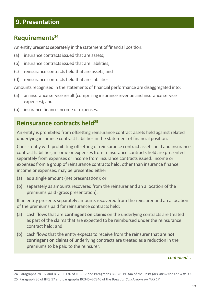#### **9. Presentation**

#### **Requirements24**

An entity presents separately in the statement of financial position:

- (a) insurance contracts issued that are assets;
- (b) insurance contracts issued that are liabilities;
- (c) reinsurance contracts held that are assets; and
- (d) reinsurance contracts held that are liabilities.

Amounts recognised in the statements of financial performance are disaggregated into:

- (a) an insurance service result (comprising insurance revenue and insurance service expenses); and
- (b) insurance finance income or expenses.

#### **Reinsurance contracts held25**

An entity is prohibited from offsetting reinsurance contract assets held against related underlying insurance contract liabilities in the statement of financial position.

Consistently with prohibiting offsetting of reinsurance contract assets held and insurance contract liabilities, income or expenses from reinsurance contracts held are presented separately from expenses or income from insurance contracts issued. Income or expenses from a group of reinsurance contracts held, other than insurance finance income or expenses, may be presented either:

- (a) as a single amount (net presentation); or
- (b) separately as amounts recovered from the reinsurer and an allocation of the premiums paid (gross presentation).

If an entity presents separately amounts recovered from the reinsurer and an allocation of the premiums paid for reinsurance contracts held:

- (a) cash flows that are **contingent on claims** on the underlying contracts are treated as part of the claims that are expected to be reimbursed under the reinsurance contract held; and
- (b) cash flows that the entity expects to receive from the reinsurer that are **not contingent on claims** of underlying contracts are treated as a reduction in the premiums to be paid to the reinsurer.

#### *continued...*

<sup>24</sup> Paragraphs 78‒92 and B120‒B136 of IFRS 17 and Paragraphs BC328‒BC344 of the *Basis for Conclusions on IFRS 17*.

<sup>25</sup> Paragraph 86 of IFRS 17 and paragraphs BC345‒BC346 of the *Basis for Conclusions on IFRS 17*.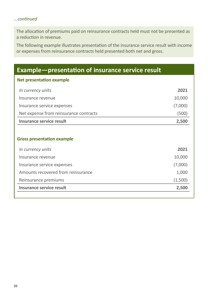#### *...continued*

The allocation of premiums paid on reinsurance contracts held must not be presented as a reduction in revenue.

The following example illustrates presentation of the insurance service result with income or expenses from reinsurance contracts held presented both net and gross.

| Net presentation example<br>2021<br>In currency units<br>10,000<br>Insurance revenue<br>(7,000)<br>Insurance service expenses<br>Net expense from reinsurance contracts<br>(500)<br>Insurance service result<br>2,500 | <b>Example</b> —presentation of insurance service result |  |  |  |  |
|-----------------------------------------------------------------------------------------------------------------------------------------------------------------------------------------------------------------------|----------------------------------------------------------|--|--|--|--|
|                                                                                                                                                                                                                       |                                                          |  |  |  |  |
|                                                                                                                                                                                                                       |                                                          |  |  |  |  |
|                                                                                                                                                                                                                       |                                                          |  |  |  |  |
|                                                                                                                                                                                                                       |                                                          |  |  |  |  |
|                                                                                                                                                                                                                       |                                                          |  |  |  |  |
|                                                                                                                                                                                                                       |                                                          |  |  |  |  |
|                                                                                                                                                                                                                       |                                                          |  |  |  |  |
| <b>Gross presentation example</b>                                                                                                                                                                                     |                                                          |  |  |  |  |
| 2021<br>In currency units                                                                                                                                                                                             |                                                          |  |  |  |  |
| 10,000<br>Insurance revenue                                                                                                                                                                                           |                                                          |  |  |  |  |
| (7,000)<br>Insurance service expenses                                                                                                                                                                                 |                                                          |  |  |  |  |
| Amounts recovered from reinsurance<br>1,000                                                                                                                                                                           |                                                          |  |  |  |  |
| (1,500)<br>Reinsurance premiums                                                                                                                                                                                       |                                                          |  |  |  |  |
| Insurance service result<br>2,500                                                                                                                                                                                     |                                                          |  |  |  |  |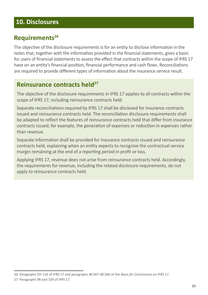#### **10. Disclosures**

#### **Requirements26**

The objective of the disclosure requirements is for an entity to disclose information in the notes that, together with the information provided in the financial statements, gives a basis for users of financial statements to assess the effect that contracts within the scope of IFRS 17 have on an entity's financial position, financial performance and cash flows. Reconciliations are required to provide different types of information about the insurance service result.

#### **Reinsurance contracts held**<sup>27</sup>

The objective of the disclosure requirements in IFRS 17 applies to all contracts within the scope of IFRS 17, including reinsurance contracts held.

Separate reconciliations required by IFRS 17 shall be disclosed for insurance contracts issued and reinsurance contracts held. The reconciliation disclosure requirements shall be adapted to reflect the features of reinsurance contracts held that differ from insurance contracts issued; for example, the generation of expenses or reduction in expenses rather than revenue.

Separate information shall be provided for insurance contracts issued and reinsurance contracts held, explaining when an entity expects to recognise the contractual service margin remaining at the end of a reporting period in profit or loss.

Applying IFRS 17, revenue does not arise from reinsurance contracts held. Accordingly, the requirements for revenue, including the related disclosure requirements, do not apply to reinsurance contracts held.

<sup>26</sup> Paragraphs 93–132 of IFRS 17 and paragraphs BC347–BC366 of the *Basis for Conclusions on IFRS 17*.

<sup>27</sup> Paragraphs 98 and 109 of IFRS 17.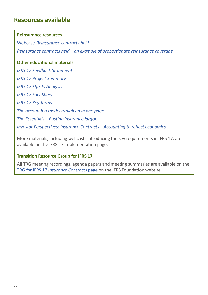#### **Resources available**

#### **Reinsurance resources**

Webcast: *[Reinsurance contracts held](https://www.ifrs.org/supporting-implementation/supporting-materials-by-ifrs-standard/ifrs-17/#webcasts)*

*[Reinsurance contracts held—an example of proportionate reinsurance coverage](https://www.ifrs.org/supporting-implementation/supporting-materials-by-ifrs-standard/ifrs-17/#education)*

#### **Other educational materials**

*[IFRS 17 Feedback Statement](https://www.ifrs.org/-/media/project/insurance-contracts/ifrs-standard/ifrs-17-feedback-statement.pdf) [IFRS 17 Project Summary](https://www.ifrs.org/-/media/project/insurance-contracts/ifrs-standard/ifrs-17-project-summary.pdf) [IFRS 17 Effects Analysis](https://www.ifrs.org/-/media/project/insurance-contracts/ifrs-standard/ifrs-17-effects-analysis.pdf) [IFRS 17 Fact Sheet](https://www.ifrs.org/-/media/project/insurance-contracts/ifrs-standard/ifrs-17-factsheet.pdf) [IFRS 17 Key Terms](https://www.ifrs.org/supporting-implementation/supporting-materials-by-ifrs-standard/ifrs-17/key-terms/) [The accounting model explained in one page](https://www.ifrs.org/-/media/project/insurance-contracts/ifrs-standard/ifrs-17-accounting-model-a3-jan-2018.pdf) [The Essentials—Busting insurance jargon](https://www.ifrs.org/-/media/feature/resources-for/investors/the-essentials/the-essentials-september-2017.pdf) [Investor Perspectives: Insurance Contracts—Accounting to reflect economics](https://www.ifrs.org/supporting-implementation/supporting-materials-by-ifrs-standard/ifrs-17/#education)*

More materials, including webcasts introducing the key requirements in IFRS 17, are available on the IFRS 17 implementation page.

#### **Transition Resource Group for IFRS 17**

All TRG meeting recordings, agenda papers and meeting summaries are available on the TRG for IFRS 17 *[Insurance Contracts](https://www.ifrs.org/groups/transition-resource-group-for-insurance-contracts/)* page on the IFRS Foundation website.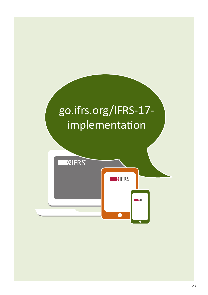# [go.ifrs.org/IFRS-17](http://go.ifrs.org/IFRS-17- implementation) [implementation](http://go.ifrs.org/IFRS-17- implementation)